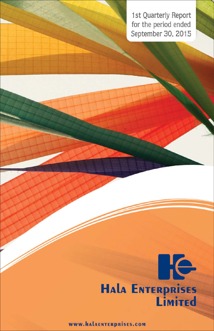1st Quarterly Report for the period ended September 30, 2015



WWW.HALAENTERPRISES.COM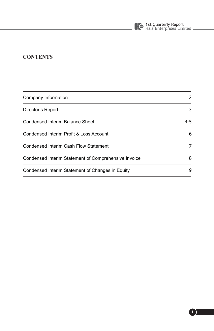

## **CONTENTS**

| Company Information                                  | 2       |  |
|------------------------------------------------------|---------|--|
| Director's Report                                    | 3       |  |
| Condensed Interim Balance Sheet                      | $4 - 5$ |  |
| Condensed Interim Profit & Loss Account              | 6       |  |
| Condensed Interim Cash Flow Statement                | 7       |  |
| Condensed Interim Statement of Comprehensive Invoice | 8       |  |
| Condensed Interim Statement of Changes in Equity     | 9       |  |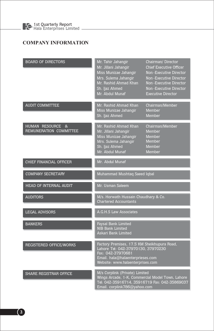## **COMPANY INFORMATION**

| <b>BOARD OF DIRECTORS</b>                             | Mr. Tahir Jahangir<br>Mr. Jillani Jahangir<br>Miss Munizae Jahangir<br>Mrs. Sulema Jahangir<br>Mr. Rashid Ahmad Khan<br>Sh. Ijaz Ahmed<br>Mr. Abdul Munaf                      | Chairman/Director<br><b>Chief Executive Officer</b><br>Non-Executive Director<br>Non-Executive Director<br>Non-Executive Director<br>Non-Executive Director<br><b>Executive Director</b> |  |
|-------------------------------------------------------|--------------------------------------------------------------------------------------------------------------------------------------------------------------------------------|------------------------------------------------------------------------------------------------------------------------------------------------------------------------------------------|--|
| <b>AUDIT COMMITTEE</b>                                | Mr. Rashid Ahmad Khan<br>Miss Munizae Jahangir<br>Sh. Ijaz Ahmed                                                                                                               | Chairman/Member<br><b>Member</b><br>Member                                                                                                                                               |  |
| <b>HUMAN RESOURCE &amp;</b><br>REMUNERATION COMMITTEE | Mr. Rashid Ahmad Khan<br>Mr. Jillani Jahangir<br>Miss Munizae Jahangir<br>Mrs. Sulema Jahangir<br>Sh. Ijaz Ahmed<br>Mr. Abdul Munaf                                            | Chairman/Member<br><b>Member</b><br><b>Member</b><br><b>Member</b><br>Member<br>Member                                                                                                   |  |
| CHIEF FINANCIAL OFFICER                               | Mr. Abdul Munaf                                                                                                                                                                |                                                                                                                                                                                          |  |
| <b>COMPANY SECRETARY</b>                              | Muhammad Mushtaq Saeed Iqbal                                                                                                                                                   |                                                                                                                                                                                          |  |
| <b>HEAD OF INTERNAL AUDIT</b>                         | Mr. Usman Saleem                                                                                                                                                               |                                                                                                                                                                                          |  |
| <b>AUDITORS</b>                                       | M/s. Horwath Hussain Chaudhary & Co.<br><b>Chartered Accountants</b>                                                                                                           |                                                                                                                                                                                          |  |
| <b>LEGAL ADVISORS</b>                                 | A.G.H.S Law Associates                                                                                                                                                         |                                                                                                                                                                                          |  |
| <b>BANKERS</b>                                        | <b>Faysal Bank Limited</b><br><b>NIB Bank Limited</b><br>Askari Bank Limited                                                                                                   |                                                                                                                                                                                          |  |
| <b>REGISTERED OFFICE/WORKS</b>                        | Factory Premises, 17.5 KM Sheikhupura Road,<br>Lahore Tel: 042-37970130, 37970230<br>Fax: 042-37970681<br>Email. hala@halaenterprieses.com<br>Website: www.halaenterprises.com |                                                                                                                                                                                          |  |
| <b>SHARE REGISTRAR OFFICE</b>                         | M/s Corplink (Private) Limited<br>Wings Arcade, 1-K, Commercial Model Town, Lahore<br>Tel: 042-35916714, 35916719 Fax: 042-35869037<br>Email. corplink786@yahoo.com            |                                                                                                                                                                                          |  |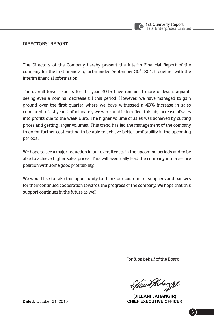

**DIRECTORS' REPORT** 

The Directors of the Company hereby present the Interim Financial Report of the company for the first financial quarter ended September 30<sup>th</sup>, 2015 together with the interim financial information.

The overall towel exports for the year 2015 have remained more or less stagnant, seeing even a nominal decrease till this period. However, we have managed to gain ground over the first quarter where we have witnessed a 43% increase in sales compared to last year. Unfortunately we were unable to reflect this big increase of sales into profits due to the weak Euro. The higher volume of sales was achieved by cutting prices and getting larger volumes. This trend has led the management of the company to go for further cost cutting to be able to achieve better profitability in the upcoming periods.

We hope to see a major reduction in our overall costs in the upcoming periods and to be able to achieve higher sales prices. This will eventually lead the company into a secure position with some good profitability.

We would like to take this opportunity to thank our customers, suppliers and bankers for their continued cooperation towards the progress of the company. We hope that this support continues in the future as well.

For & on behalf of the Board

l fuun Pakingsf

(JILLANI JAHANGIR) CHIFF EXECUTIVE OFFICER

Dated: October 31, 2015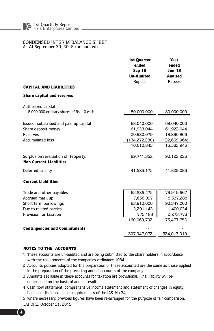#### CONDENSED INTERIM BALANCE SHEET As At September 30, 2015 (un-audited)

1st Ouarter Year ended ended Sep-15 **Jun-15 Un-Audited Audited** Rupees Rupees **CAPITAL AND LIABILITIES** Share capital and reserves Authorized capital 8,000,000 ordinary shares of Rs. 10 each 80,000,000 80,000,000 Issued, subscribed and paid up capital 68.040.000 68.040.000 Share deposit money 61,923,044 61,923,044 Reserves 20.920.079 18.290.866 **Accumulated loss**  $(134.272.280)$  $(132.669.964)$ 16.610.843 15.583.946 90.122.226 Surplus on revaluation of Property, 89.741.352 **Non Current Liabilities** Deferred liability 41,525,175 41,829,086 **Current Liabilities** 65.526.475 73.919.667 Trade and other payables 7.656,897 Accrued mark up 8,537,288 Short term borrowings 83.910.000 90.347.000 2.201.142 Due to related parties 1,400,024 Provision for taxation 775,188 2,273,773 160.069.702 176.477.752 **Contingencies and Commitments** 307.947.072 324.013.010

#### **NOTES TO THE ACCOUNTS**

- 1 These accounts are un-audited and are being submitted to the share holders in accordance with the requirements of the companies ordinance 1984.
- 2 Accounts policies adopted for the preparation of these accounted are the same as those applied in the preparation of the preceding annual accounts of the company
- 3 Amounts set aside in these accounts for taxation are provisional. Final liability will be determined on the basis of annual results.
- 4 Cash flow statement, comprehensive income statement and statement of changes in equity has been disclosed as per requirements of the IAS No 34
- 5 where necessary, previous figures have been re-arranged for the purpose of fair comparison.
- LAHORE: October 31, 2015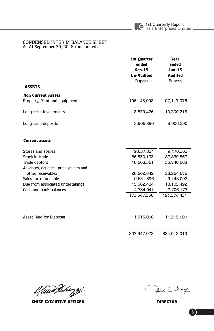# CONDENSED INTERIM BALANCE SHEET<br>As At September 30, 2015 (un-audited)

|                                                            | 1st Quarter<br>ended<br><b>Sep-15</b><br><b>Un-Audited</b><br>Rupees | Year<br>ended<br><b>Jun-15</b><br><b>Audited</b> |  |
|------------------------------------------------------------|----------------------------------------------------------------------|--------------------------------------------------|--|
| <b>ASSETS</b>                                              |                                                                      | Rupees                                           |  |
| <b>Non Current Assets</b><br>Property, Plant and equipment | 106.148.998                                                          | 107.117.076                                      |  |
| Long term Investments                                      | 12.829.426                                                           | 10.200.213                                       |  |
| Long term deposits                                         | 3.906.290                                                            | 3.906.290                                        |  |

#### **Current assets**

| Stores and spares                   | 9.657.334   | 9,470,363   |
|-------------------------------------|-------------|-------------|
| Stock in trade                      | 86,550,193  | 87.839.567  |
| Trade debtors                       | 18,608,561  | 35.740.068  |
| Advances, deposits, prepayments and |             |             |
| other receivables                   | 28.662.849  | 28.264.676  |
| Sales tax refundable                | 9,651,896   | 9.148.092   |
| Due from associated undertakings    | 15.682.484  | 18.105.492  |
| Cash and bank balances              | 4,734,041   | 2,706,173   |
|                                     | 173.547.358 | 191.274.431 |
|                                     |             |             |

| Asset Held for Disposal | 11.515.000  | 11.515.000  |  |  |
|-------------------------|-------------|-------------|--|--|
|                         |             |             |  |  |
|                         | 307.947.072 | 324.013.010 |  |  |

efaun Jahangs

**CHIEF EXECUTIVE OFFICER** 

Abelial Munay

**DIRECTOR**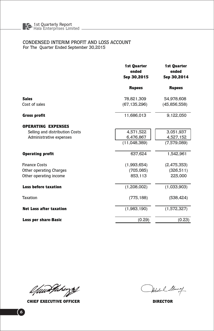#### CONDENSED INTERIM PROFIT AND LOSS ACCOUNT For The Quarter Ended September 30,2015

|                                | 1st Quarter<br>ended<br>Sep 30,2015 | 1st Quarter<br>ended<br>Sep 30,2014 |  |
|--------------------------------|-------------------------------------|-------------------------------------|--|
|                                | <b>Rupees</b>                       | <b>Rupees</b>                       |  |
| <b>Sales</b><br>Cost of sales  | 78,821,309<br>(67, 135, 296)        | 54,978,608<br>(45,856,558)          |  |
| Gross profit                   | 11,686,013                          | 9,122,050                           |  |
| <b>OPERATING EXPENSES</b>      |                                     |                                     |  |
| Selling and distribution Costs | 4,571,522                           | 3,051,937                           |  |
| Administrative expenses        | 6,476,867                           | 4,527,152                           |  |
|                                | (11,048,389)                        | (7,579,089)                         |  |
| <b>Operating profit</b>        | 637,624                             | 1,542,961                           |  |
| <b>Finance Costs</b>           | (1,993,654)                         | (2,475,353)                         |  |
| Other operating Charges        | (705,085)                           | (326, 511)                          |  |
| Other operating income         | 853,113                             | 225,000                             |  |
| Loss before taxation           | (1,208,002)                         | (1,033,903)                         |  |
| Taxation                       | (775, 188)                          | (538, 424)                          |  |
| Net Loss after taxation        | (1,983,190)                         | (1,572,327)                         |  |
| <b>Loss per share-Basic</b>    | (0.29)                              | (0.23)                              |  |
|                                |                                     |                                     |  |

l faun Pakings

**CHIEF EXECUTIVE OFFICER** 

Abdul Munay

**DIRECTOR**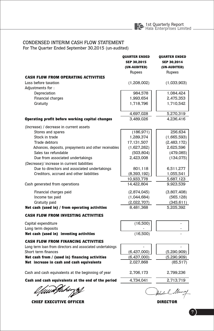

### CONDENSED INTERIM CASH FLOW STATEMENT

For The Quarter Ended September 30,2015 (un-audited)

|                                                           | <b>QUARTER ENDED</b><br>SEP 30,2015<br>(UN-AUDITED)<br>Rupees | <b>QUARTER ENDED</b><br>SEP 30,2014<br>(UN-AUDITED)<br>Rupees |
|-----------------------------------------------------------|---------------------------------------------------------------|---------------------------------------------------------------|
| <b>CASH FLOW FROM OPERATING ACTIVITIES</b>                |                                                               |                                                               |
| Loss before taxation                                      | (1,208,002)                                                   | (1,033,903)                                                   |
| Adjustments for:                                          |                                                               |                                                               |
| Depreciation                                              | 984,578                                                       | 1,084,424                                                     |
| Financial charges                                         | 1,993,654                                                     | 2,475,353                                                     |
| Gratuity                                                  | 1,718,796                                                     | 1,710,542                                                     |
|                                                           |                                                               |                                                               |
|                                                           | 4,697,028                                                     | 5,270,319                                                     |
| Operating profit before working capital changes           | 3,489,026                                                     | 4,236,416                                                     |
| (Increase) / decrease in current assets                   |                                                               |                                                               |
| Stores and spares                                         | (186, 971)                                                    | 256,634                                                       |
| Stock in trade                                            | 1,289,374                                                     | (1,665,593)                                                   |
| Trade debtors                                             | 17,131,507                                                    | (2,483,172)                                                   |
| Advances, deposits, prepayments and other receivables     | (1,627,262)                                                   | 2,625,596                                                     |
| Sales tax refundable                                      | (503, 804)                                                    | (479, 085)                                                    |
| Due from associated undertakings                          | 2,423,008                                                     | (134,075)                                                     |
| (Decrease)/ increase in current liabilities               |                                                               |                                                               |
| Due to directors and associated undertakings              | 801,118                                                       | 6,511,277                                                     |
| Creditors, accrued and other liabilities                  | (8,393,192)                                                   | 1,055,541                                                     |
|                                                           | 10,933,778                                                    | 5,687,123                                                     |
| Cash generated from operations                            | 14,422,804                                                    | 9,923,539                                                     |
| Financial charges paid                                    | (2,874,045)                                                   | (3,807,408)                                                   |
| Income tax paid                                           | (1,044,684)                                                   | (565, 128)                                                    |
| Gratuity paid                                             | (2,022,707)                                                   | (345, 611)                                                    |
| Net cash (used in) / from operating activities            | 8,481,368                                                     | 5,205,392                                                     |
| <b>CASH FLOW FROM INVESTING ACTIVITIES</b>                |                                                               |                                                               |
| Capital expenditure                                       | (16,500)                                                      |                                                               |
| Long term deposits                                        |                                                               |                                                               |
| Net cash (used in) investing activities                   | (16,500)                                                      |                                                               |
| <b>CASH FLOW FROM FINANCING ACTIVITIES</b>                |                                                               |                                                               |
| Long term loan from directors and associated undertakings |                                                               |                                                               |
| Short term finances                                       | (6,437,000)                                                   | (5,290,909)                                                   |
| Net cash from / (used in) financing activities            | (6,437,000)                                                   | (5,290,909)                                                   |
| Net increase in cash and cash equivalents                 | 2,027,868                                                     | (85, 517)                                                     |
| Cash and cash equivalents at the beginning of year        | 2,706,173                                                     | 2,799,236                                                     |
| Cash and cash equivalents at the end of the period        | 4,734,041                                                     | 2,713,719                                                     |
|                                                           |                                                               | Abdul Alun                                                    |

**CHIEF EXECUTIVE OFFICER** 

**DIRECTOR**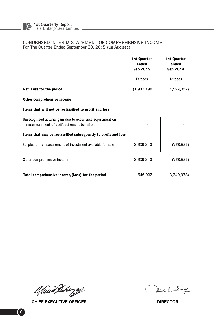#### CONDENSED INTERIM STATEMENT OF COMPREHENSIVE INCOME For The Quarter Ended September 30, 2015 (un Audited)

|                                                                                                          | 1st Quarter<br>ended<br>Sep.2015 |             |
|----------------------------------------------------------------------------------------------------------|----------------------------------|-------------|
|                                                                                                          | Rupees                           | Rupees      |
| Net Loss for the period                                                                                  | (1,983,190)                      | (1,572,327) |
| Other comprehensive income                                                                               |                                  |             |
| Items that will not be reclassified to profit and loss                                                   |                                  |             |
| Unrecognised acturial gain due to experience adjustment on<br>remeasurement of staff retirement benefits |                                  |             |
| Items that may be reclassified subsequently to profit and loss                                           |                                  |             |
| Surplus on remeasurement of investment available for sale                                                | 2,629,213                        | (768, 651)  |
| Other comprehensive income                                                                               | 2,629,213                        | (768, 651)  |
| Total comprehensive income/(Loss) for the period                                                         | 646,023                          | (2,340,978) |

l fuur Pakings

CHIEF EXECUTIVE OFFICER

Abdul Munay

**DIRECTOR**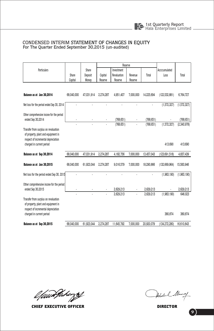#### CONDENSED INTERIM STATEMENT OF CHANGES IN EQUITY For The Quarter Ended September 30,2015 (un-audited)

|                                                                                                                    |            |            | Reserve   |                |           |            |                 |             |
|--------------------------------------------------------------------------------------------------------------------|------------|------------|-----------|----------------|-----------|------------|-----------------|-------------|
| Particulars                                                                                                        |            | Share      |           | Investment     |           |            | Accccumulated   |             |
|                                                                                                                    | Share      | Deposit    | Capital   | Revaluation    | Revenue   | Total      | Loss            | Total       |
|                                                                                                                    | Capital    | Money      | Reserve   | Reserve        | Reserve   |            |                 |             |
|                                                                                                                    |            |            |           |                |           |            |                 |             |
| Balance as at Jun 30.2014                                                                                          | 68.040.000 | 47.031.914 | 2.274.287 | 4.951.407      | 7.000.000 | 14.225.694 | (122, 532, 881) | 6.764.727   |
| Net loss for the period ended Sep 30, 2014                                                                         |            |            | ä,        | $\overline{a}$ | ä,        |            | (1,572,327)     | (1,572,327) |
| Other comprehensive incone for the period<br>ended Sep 30,2014                                                     |            |            |           | (768.651)      |           | (768.651)  |                 | (768, 651)  |
|                                                                                                                    |            | ï          |           | (768, 651)     | í,        | (768, 651) | (1,572,327)     | (2,340,978) |
| Transfer from surplus on revaluation<br>of property, plant and equipment in<br>respect of incremental depreciation |            |            |           |                |           |            |                 |             |
| charged in current period                                                                                          |            |            |           |                |           |            | 413,690         | 413.690     |
| Balance as at Sep 30,2014                                                                                          | 68,040,000 | 47,031,914 | 2,274,287 | 4.182.756      | 7,000,000 | 13,457,043 | (123, 691, 518) | 4,837,439   |
| Balance as at Jun 30,2015                                                                                          | 68,040,000 | 61.923.044 | 2.274.287 | 9,016,579      | 7.000.000 | 18,290,866 | (132, 669, 964) | 15,583,946  |
| Net loss for the period ended Sep 30, 2015                                                                         |            |            |           |                |           | ä,         | (1,983,190)     | (1,983,190) |
| Other comprehensive incone for the period                                                                          |            |            |           |                |           |            |                 |             |
| ended Sep 30,2015                                                                                                  |            |            |           | 2.629.213      | ä,        | 2.629.213  |                 | 2,629,213   |
| Transfer from surplus on revaluation<br>of property, plant and equipment in<br>respect of incremental depreciation |            |            |           | 2.629.213      | ï         | 2.629.213  | (1,983,190)     | 646,023     |
| charged in current period                                                                                          |            |            |           |                |           |            | 380.874         | 380.874     |
| Balance as at Sep 30,2015                                                                                          | 68.040.000 | 61,923,044 | 2.274.287 | 11.645.792     | 7.000.000 | 20.920.079 | (134, 272, 280) | 16,610,843  |

l fuur Pakings

CHIEF EXECUTIVE OFFIC ER D

Abdul Munay

IRECTOR